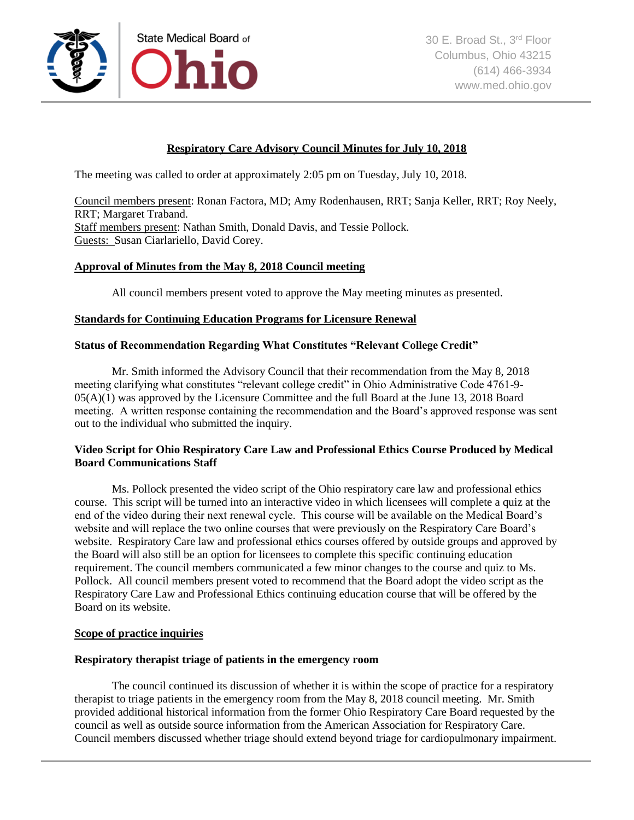

# **Respiratory Care Advisory Council Minutes for July 10, 2018**

The meeting was called to order at approximately 2:05 pm on Tuesday, July 10, 2018.

Council members present: Ronan Factora, MD; Amy Rodenhausen, RRT; Sanja Keller, RRT; Roy Neely, RRT; Margaret Traband. Staff members present: Nathan Smith, Donald Davis, and Tessie Pollock. Guests: Susan Ciarlariello, David Corey.

### **Approval of Minutes from the May 8, 2018 Council meeting**

All council members present voted to approve the May meeting minutes as presented.

## **Standards for Continuing Education Programs for Licensure Renewal**

# **Status of Recommendation Regarding What Constitutes "Relevant College Credit"**

Mr. Smith informed the Advisory Council that their recommendation from the May 8, 2018 meeting clarifying what constitutes "relevant college credit" in Ohio Administrative Code 4761-9- 05(A)(1) was approved by the Licensure Committee and the full Board at the June 13, 2018 Board meeting. A written response containing the recommendation and the Board's approved response was sent out to the individual who submitted the inquiry.

## **Video Script for Ohio Respiratory Care Law and Professional Ethics Course Produced by Medical Board Communications Staff**

Ms. Pollock presented the video script of the Ohio respiratory care law and professional ethics course. This script will be turned into an interactive video in which licensees will complete a quiz at the end of the video during their next renewal cycle. This course will be available on the Medical Board's website and will replace the two online courses that were previously on the Respiratory Care Board's website. Respiratory Care law and professional ethics courses offered by outside groups and approved by the Board will also still be an option for licensees to complete this specific continuing education requirement. The council members communicated a few minor changes to the course and quiz to Ms. Pollock. All council members present voted to recommend that the Board adopt the video script as the Respiratory Care Law and Professional Ethics continuing education course that will be offered by the Board on its website.

### **Scope of practice inquiries**

#### **Respiratory therapist triage of patients in the emergency room**

The council continued its discussion of whether it is within the scope of practice for a respiratory therapist to triage patients in the emergency room from the May 8, 2018 council meeting. Mr. Smith provided additional historical information from the former Ohio Respiratory Care Board requested by the council as well as outside source information from the American Association for Respiratory Care. Council members discussed whether triage should extend beyond triage for cardiopulmonary impairment.